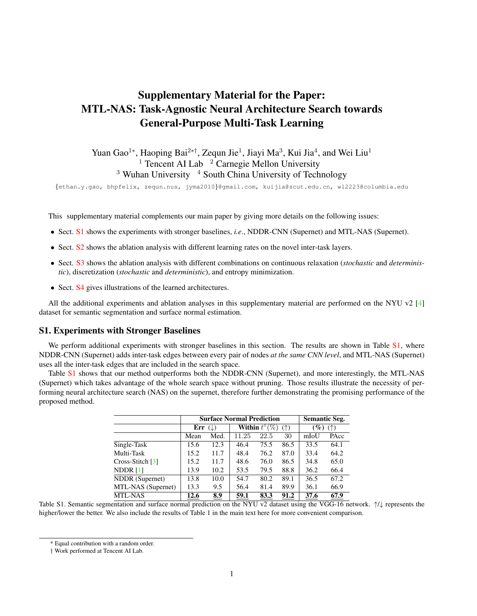# <span id="page-0-3"></span>Supplementary Material for the Paper: MTL-NAS: Task-Agnostic Neural Architecture Search towards General-Purpose Multi-Task Learning

Yuan Gao<sup>1</sup>\*, Haoping Bai<sup>2\*†</sup>, Zequn Jie<sup>1</sup>, Jiayi Ma<sup>3</sup>, Kui Jia<sup>4</sup>, and Wei Liu<sup>1</sup> <sup>1</sup> Tencent AI Lab  $\frac{1}{2}$  Carnegie Mellon University  $3$  Wuhan University  $4$  South China University of Technology

{ethan.y.gao, bhpfelix, zequn.nus, jyma2010}@gmail.com, kuijia@scut.edu.cn, wl2223@columbia.edu

Thi[s](#page-0-0) supplementary material complements our main paper by giving more details on the following issues:

- Sect. [S1](#page-0-1) shows the experiments with stronger baselines, *i.e*., NDDR-CNN (Supernet) and MTL-NAS (Supernet).
- Sect. [S2](#page-1-0) shows the ablation analysis with different learning rates on the novel inter-task layers.
- Sect. [S3](#page-1-1) shows the ablation analysis with different combinations on continuous relaxation (*stochastic* and *deterministic*), discretization (*stochastic* and *deterministic*), and entropy minimization.
- Sect. [S4](#page-2-0) gives illustrations of the learned architectures.

All the additional experiments and ablation analyses in this supplementary material are performed on the NYU v2 [\[4\]](#page-2-1) dataset for semantic segmentation and surface normal estimation.

#### <span id="page-0-1"></span>S1. Experiments with Stronger Baselines

We perform additional experiments with stronger baselines in this section. The results are shown in Table [S1,](#page-0-2) where NDDR-CNN (Supernet) adds inter-task edges between every pair of nodes *at the same CNN level*, and MTL-NAS (Supernet) uses all the inter-task edges that are included in the search space.

Table [S1](#page-0-2) shows that our method outperforms both the NDDR-CNN (Supernet), and more interestingly, the MTL-NAS (Supernet) which takes advantage of the whole search space without pruning. Those results illustrate the necessity of performing neural architecture search (NAS) on the supernet, therefore further demonstrating the promising performance of the proposed method.

|                    |      | <b>Surface Normal Prediction</b> | <b>Semantic Seg.</b>               |      |      |                                                                |      |  |
|--------------------|------|----------------------------------|------------------------------------|------|------|----------------------------------------------------------------|------|--|
|                    | Err  | (L)                              | <b>Within</b> $t^{\circ}(\%)$<br>( |      |      | $\left( \frac{\partial}{\partial \theta} \right)$<br>$($ 1 $)$ |      |  |
|                    | Mean | Med.                             | 11.25                              | 22.5 | 30   | mIoU                                                           | PAcc |  |
| Single-Task        | 15.6 | 12.3                             | 46.4                               | 75.5 | 86.5 | 33.5                                                           | 64.1 |  |
| Multi-Task         | 15.2 | 11.7                             | 48.4                               | 76.2 | 87.0 | 33.4                                                           | 64.2 |  |
| $Cross-Stitch [3]$ | 15.2 | 11.7                             | 48.6                               | 76.0 | 86.5 | 34.8                                                           | 65.0 |  |
| NDDR $[1]$         | 13.9 | 10.2                             | 53.5                               | 79.5 | 88.8 | 36.2                                                           | 66.4 |  |
| NDDR (Supernet)    | 13.8 | 10.0                             | 54.7                               | 80.2 | 89.1 | 36.5                                                           | 67.2 |  |
| MTL-NAS (Supernet) | 13.3 | 9.5                              | 56.4                               | 81.4 | 89.9 | 36.1                                                           | 66.9 |  |
| <b>MTL-NAS</b>     | 12.6 | 8.9                              | 59.1                               | 83.3 | 91.2 | 37.6                                                           | 67.9 |  |

<span id="page-0-2"></span>Table S1. Semantic segmentation and surface normal prediction on the NYU v2 dataset using the VGG-16 network. ↑/↓ represents the higher/lower the better. We also include the results of Table 1 in the main text here for more convenient comparison.

<span id="page-0-0"></span><sup>\*</sup> Equal contribution with a random order.

<sup>†</sup> Work performed at Tencent AI Lab.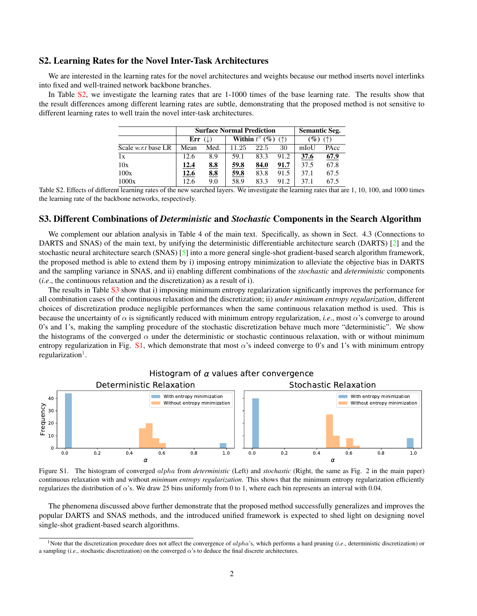## <span id="page-1-5"></span><span id="page-1-0"></span>S2. Learning Rates for the Novel Inter-Task Architectures

We are interested in the learning rates for the novel architectures and weights because our method inserts novel interlinks into fixed and well-trained network backbone branches.

In Table [S2,](#page-1-2) we investigate the learning rates that are 1-1000 times of the base learning rate. The results show that the result differences among different learning rates are subtle, demonstrating that the proposed method is not sensitive to different learning rates to well train the novel inter-task architectures.

|                            |                      | <b>Surface Normal Prediction</b> | <b>Semantic Seg.</b>                     |      |      |                      |      |  |
|----------------------------|----------------------|----------------------------------|------------------------------------------|------|------|----------------------|------|--|
|                            | Err $( \downarrow )$ |                                  | Within $t^{\circ}$ (%)<br>$($ $\uparrow$ |      |      | $\mathscr{G}_o$<br>( |      |  |
| Scale <i>w.r.t</i> base LR | Mean                 | Med.                             | 11.25                                    | 22.5 | 30   | mIoU                 | PAcc |  |
| 1x                         | 12.6                 | 8.9                              | 59.1                                     | 83.3 | 91.2 | 37.6                 | 67.9 |  |
| 10x                        | 12.4                 | 8.8                              | 59.8                                     | 84.0 | 91.7 | 37.5                 | 67.8 |  |
| 100x                       | 12.6                 | 8.8                              | 59.8                                     | 83.8 | 91.5 | 37.1                 | 67.5 |  |
| 1000x                      | 12.6                 | 9.0                              | 58.9                                     | 83.3 | 91.2 | 37.1                 | 67.5 |  |

<span id="page-1-2"></span>Table S2. Effects of different learning rates of the new searched layers. We investigate the learning rates that are 1, 10, 100, and 1000 times the learning rate of the backbone networks, respectively.

## <span id="page-1-1"></span>S3. Different Combinations of *Deterministic* and *Stochastic* Components in the Search Algorithm

We complement our ablation analysis in Table 4 of the main text. Specifically, as shown in Sect. 4.3 (Connections to DARTS and SNAS) of the main text, by unifying the deterministic differentiable architecture search (DARTS) [\[2\]](#page-2-4) and the stochastic neural architecture search (SNAS) [\[5\]](#page-2-5) into a more general single-shot gradient-based search algorithm framework, the proposed method is able to extend them by i) imposing entropy minimization to alleviate the objective bias in DARTS and the sampling variance in SNAS, and ii) enabling different combinations of the *stochastic* and *deterministic* components (*i.e*., the continuous relaxation and the discretization) as a result of i).

The results in Table [S3](#page-2-6) show that i) imposing minimum entropy regularization significantly improves the performance for all combination cases of the continuous relaxation and the discretization; ii) *under minimum entropy regularization*, different choices of discretization produce negligible performances when the same continuous relaxation method is used. This is because the uncertainty of  $\alpha$  is significantly reduced with minimum entropy regularization, *i.e.*, most  $\alpha$ 's converge to around 0's and 1's, making the sampling procedure of the stochastic discretization behave much more "deterministic". We show the histograms of the converged  $\alpha$  under the deterministic or stochastic continuous relaxation, with or without minimum entropy regularization in Fig. [S1,](#page-1-3) which demonstrate that most  $\alpha$ 's indeed converge to 0's and 1's with minimum entropy regularization<sup>[1](#page-1-4)</sup>.



<span id="page-1-3"></span>Figure S1. The histogram of converged alpha from *deterministic* (Left) and *stochastic* (Right, the same as Fig. 2 in the main paper) continuous relaxation with and without *minimum entropy regularization*. This shows that the minimum entropy regularization efficiently regularizes the distribution of  $\alpha$ 's. We draw 25 bins uniformly from 0 to 1, where each bin represents an interval with 0.04.

The phenomena discussed above further demonstrate that the proposed method successfully generalizes and improves the popular DARTS and SNAS methods, and the introduced unified framework is expected to shed light on designing novel single-shot gradient-based search algorithms.

<span id="page-1-4"></span><sup>&</sup>lt;sup>1</sup>Note that the discretization procedure does not affect the convergence of *alpha*'s, which performs a hard pruning (*i.e.*, deterministic discretization) or a sampling (*i.e.*, stochastic discretization) on the converged  $\alpha$ 's to deduce the final discrete architectures.